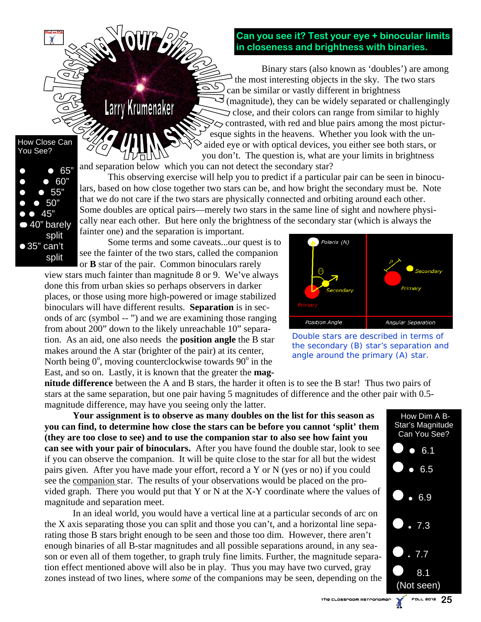## **Can you see it? Test your eye + binocular limits in closeness and brightness with binaries.**

 Binary stars (also known as 'doubles') are among the most interesting objects in the sky. The two stars can be similar or vastly different in brightness  $\preceq$  (magnitude), they can be widely separated or challengingly  $\triangleright$  close, and their colors can range from similar to highly  $\sim$  contrasted, with red and blue pairs among the most picturesque sights in the heavens. Whether you look with the unaided eye or with optical devices, you either see both stars, or you don't. The question is, what are your limits in brightness and separation below which you can not detect the secondary star?

 This observing exercise will help you to predict if a particular pair can be seen in binoculars, based on how close together two stars can be, and how bright the secondary must be. Note that we do not care if the two stars are physically connected and orbiting around each other. Some doubles are optical pairs—merely two stars in the same line of sight and nowhere physically near each other. But here only the brightness of the secondary star (which is always the fainter one) and the separation is important.

 split ● 35" can't split

65" 60"  $• 55"$  $\bullet$  50" 45" ● 40" barely

How Close Can You See?

> Some terms and some caveats...our quest is to see the fainter of the two stars, called the companion or **B** star of the pair. Common binoculars rarely

view stars much fainter than magnitude 8 or 9. We've always done this from urban skies so perhaps observers in darker places, or those using more high-powered or image stabilized binoculars will have different results. **Separation** is in seconds of arc (symbol -- ") and we are examining those ranging from about 200" down to the likely unreachable 10" separation. As an aid, one also needs the **position angle** the B star makes around the A star (brighter of the pair) at its center, North being  $0^\circ$ , moving counterclockwise towards  $90^\circ$  in the East, and so on. Lastly, it is known that the greater the **mag-**

**Larry Krumenaker** 

 $\overline{\Pi}$ 

Double stars are described in terms of the secondary (B) star's separation and

**nitude difference** between the A and B stars, the harder it often is to see the B star! Thus two pairs of stars at the same separation, but one pair having 5 magnitudes of difference and the other pair with 0.5 magnitude difference, may have you seeing only the latter.

**Your assignment is to observe as many doubles on the list for this season as you can find, to determine how close the stars can be before you cannot 'split' them (they are too close to see) and to use the companion star to also see how faint you can see with your pair of binoculars.** After you have found the double star, look to see if you can observe the companion. It will be quite close to the star for all but the widest pairs given. After you have made your effort, record a Y or N (yes or no) if you could see the companion star. The results of your observations would be placed on the provided graph. There you would put that Y or N at the X-Y coordinate where the values of magnitude and separation meet.

 In an ideal world, you would have a vertical line at a particular seconds of arc on the X axis separating those you can split and those you can't, and a horizontal line separating those B stars bright enough to be seen and those too dim. However, there aren't enough binaries of all B-star magnitudes and all possible separations around, in any season or even all of them together, to graph truly fine limits. Further, the magnitude separation effect mentioned above will also be in play. Thus you may have two curved, gray zones instead of two lines, where *some* of the companions may be seen, depending on the





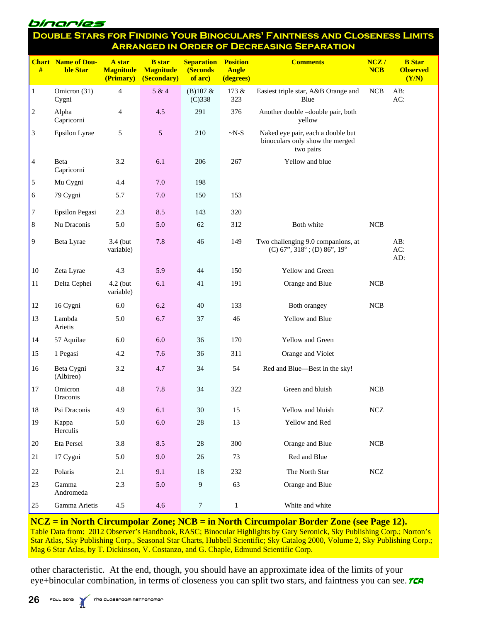

## **Double Stars for Finding Your Binoculars' Faintness and Closeness Limits Arranged in Order of Decreasing Separation**

| #              | <b>Chart</b> Name of Dou-<br>ble Star | A star<br><b>Magnitude</b><br>(Primary) | <b>B</b> star<br><b>Magnitude</b><br>(Secondary) | <b>Separation</b><br>(Seconds<br>of arc) | <b>Position</b><br><b>Angle</b><br>(degrees) | <b>Comments</b>                                                                   | NCZ/<br><b>NCB</b> | <b>B</b> Star<br><b>Observed</b><br>(Y/N) |
|----------------|---------------------------------------|-----------------------------------------|--------------------------------------------------|------------------------------------------|----------------------------------------------|-----------------------------------------------------------------------------------|--------------------|-------------------------------------------|
| $\mathbf{1}$   | Omicron (31)<br>Cygni                 | $\overline{4}$                          | 5 & 4                                            | $(B)107 \&$<br>(C)338                    | $173\;\&$<br>323                             | Easiest triple star, A&B Orange and<br>Blue                                       | NCB                | AB:<br>AC:                                |
| $\sqrt{2}$     | Alpha<br>Capricorni                   | 4                                       | 4.5                                              | 291                                      | 376                                          | Another double -double pair, both<br>yellow                                       |                    |                                           |
| 3              | Epsilon Lyrae                         | 5                                       | 5                                                | 210                                      | $\sim N-S$                                   | Naked eye pair, each a double but<br>binoculars only show the merged<br>two pairs |                    |                                           |
| $\overline{4}$ | Beta<br>Capricorni                    | 3.2                                     | 6.1                                              | 206                                      | 267                                          | Yellow and blue                                                                   |                    |                                           |
| 5              | Mu Cygni                              | 4.4                                     | 7.0                                              | 198                                      |                                              |                                                                                   |                    |                                           |
| 6              | 79 Cygni                              | 5.7                                     | 7.0                                              | 150                                      | 153                                          |                                                                                   |                    |                                           |
| 7              | <b>Epsilon Pegasi</b>                 | 2.3                                     | 8.5                                              | 143                                      | 320                                          |                                                                                   |                    |                                           |
| $\,8\,$        | Nu Draconis                           | 5.0                                     | 5.0                                              | 62                                       | 312                                          | Both white                                                                        | NCB                |                                           |
| 9              | Beta Lyrae                            | 3.4 (but<br>variable)                   | 7.8                                              | 46                                       | 149                                          | Two challenging 9.0 companions, at<br>(C) $67$ ", $318$ °; (D) $86$ ", $19$ °     |                    | AB:<br>AC:<br>AD:                         |
| 10             | Zeta Lyrae                            | 4.3                                     | 5.9                                              | 44                                       | 150                                          | Yellow and Green                                                                  |                    |                                           |
| 11             | Delta Cephei                          | $4.2$ (but<br>variable)                 | 6.1                                              | 41                                       | 191                                          | Orange and Blue                                                                   | <b>NCB</b>         |                                           |
| 12             | 16 Cygni                              | 6.0                                     | 6.2                                              | 40                                       | 133                                          | Both orangey                                                                      | NCB                |                                           |
| 13             | Lambda<br>Arietis                     | 5.0                                     | 6.7                                              | 37                                       | 46                                           | Yellow and Blue                                                                   |                    |                                           |
| 14             | 57 Aquilae                            | 6.0                                     | 6.0                                              | 36                                       | 170                                          | Yellow and Green                                                                  |                    |                                           |
| 15             | 1 Pegasi                              | 4.2                                     | 7.6                                              | 36                                       | 311                                          | Orange and Violet                                                                 |                    |                                           |
| 16             | Beta Cygni<br>(Albireo)               | 3.2                                     | 4.7                                              | 34                                       | 54                                           | Red and Blue-Best in the sky!                                                     |                    |                                           |
| 17             | Omicron<br>Draconis                   | 4.8                                     | 7.8                                              | 34                                       | 322                                          | Green and bluish                                                                  | <b>NCB</b>         |                                           |
| 18             | Psi Draconis                          | 4.9                                     | 6.1                                              | $30\,$                                   | 15                                           | Yellow and bluish                                                                 | ${\rm NCZ}$        |                                           |
| 19             | Kappa<br>Herculis                     | 5.0                                     | 6.0                                              | $28\,$                                   | 13                                           | Yellow and Red                                                                    |                    |                                           |
| 20             | Eta Persei                            | $3.8\,$                                 | $8.5\,$                                          | $28\,$                                   | 300                                          | Orange and Blue                                                                   | NCB                |                                           |
| $21\,$         | 17 Cygni                              | 5.0                                     | 9.0                                              | $26\,$                                   | 73                                           | Red and Blue                                                                      |                    |                                           |
| $22\,$         | Polaris                               | 2.1                                     | 9.1                                              | 18                                       | 232                                          | The North Star                                                                    | ${\rm NCZ}$        |                                           |
| 23             | Gamma<br>Andromeda                    | 2.3                                     | 5.0                                              | $\overline{9}$                           | 63                                           | Orange and Blue                                                                   |                    |                                           |
| $25\,$         | Gamma Arietis                         | 4.5                                     | 4.6                                              | $\boldsymbol{7}$                         | $\mathbf{1}$                                 | White and white                                                                   |                    |                                           |

**NCZ = in North Circumpolar Zone; NCB = in North Circumpolar Border Zone (see Page 12).**  Table Data from: 2012 Observer's Handbook, RASC; Binocular Highlights by Gary Seronick, Sky Publishing Corp.; Norton's Star Atlas, Sky Publishing Corp., Seasonal Star Charts, Hubbell Scientific; Sky Catalog 2000, Volume 2, Sky Publishing Corp.; Mag 6 Star Atlas, by T. Dickinson, V. Costanzo, and G. Chaple, Edmund Scientific Corp.

other characteristic. At the end, though, you should have an approximate idea of the limits of your eye+binocular combination, in terms of closeness you can split two stars, and faintness you can see. TCA